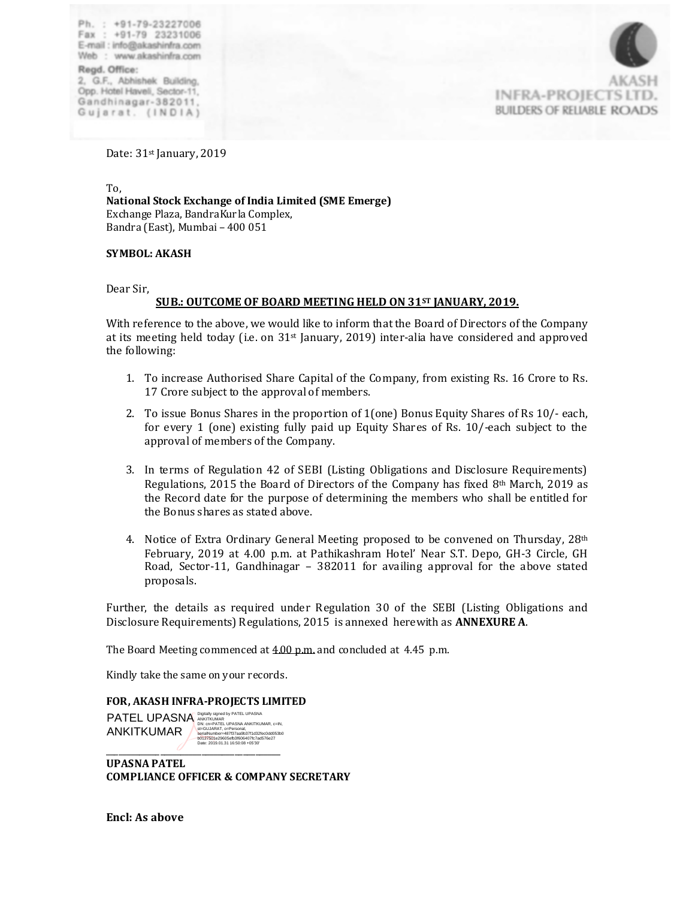Ph.: +91-79-23227006 Fax: +91-79 23231006 E-mail : info@akashinfra.com Web: www.akashinfra.com Regd. Office: 2, G.F., Abhishek Building, Opp. Hotel Haveli, Sector-11. Gandhinagar-382011.





Date: 31<sup>st</sup> January, 2019

To, To,<br>National Stock Exchange of India Limited (SME Emerge) Exchange Plaza, BandraKurla Complex, Bandra (East), Mumbai - 400 051

# SYMBOL: AKASH

Dear Sir,

#### **SUB.: OUTCOME OF BOARD MEETING HELD ON 31ST JANUARY, 2019.**

With reference to the above, we would like to inform that the Board of Directors of the Company at its meeting held today (i.e. on 31st January, 2019) inter-alia have considered and approved<br>the following the following:

- 1. To increase Authorised Share Capital of the Company, from existing Rs. 16 Crore to Rs. 17 Crore subject to the approval of members.
- 2. To issue Bonus Shares in the proportion of 1 (one) Bonus Equity Shares of Rs 10/- each, for every 1 (one) existing fully paid up Equity Shares of Rs.  $10$ /-each subject to the approval of members of the Company.
	- 3. In terms of Regulation 42 of SEBI (Listing Obligations and Disclosure Requirements) Regulations, 2015 the Board of Directors of the Company has fixed  $8<sup>th</sup>$  March, 2019 as the Record date for the purpose of determining the members who shall be entitled for the Bonus shares as stated above.
	- 4. Notice of Extra Ordinary General Meeting proposed to be convened on Thursday, 28<sup>th</sup> February, 2019 at 4.00 p.m. at Pathikashram Hotel' Near S.T. Depo, GH-3 Circle, GH Road, Sector-11, Gandhinagar – 382011 for availing approval for the above stated proposals.

Further, the details as required under Regulation 30 of the SEBI (Listing Obligations and Disclosure Requirements) Regulations, 2015 is annexed herewith as **ANNEXURE A**.

The Board Meeting commenced at 4.00 p.m. and concluded at 4.45 p.m. Thanking you.

Kindly take the same on your records. Yours faithfully,

#### **FOR, AKASH INFRA-PROJECTS LIMITED**

\_\_\_\_\_\_\_\_\_\_\_\_\_\_\_\_\_\_\_\_\_\_\_\_\_\_\_\_\_\_\_\_\_\_\_\_\_\_\_\_\_\_ **AINNI I NUIVIAN**<br> **buters01=29605eft**<br>
Date: 2019.01.31 16 PATEL UPASNA ANKITKUMAR Digitally signed by PATEL UPASNA<br>ANKITKUMAR<br>DN: cn=PATEL UPASNA ANKITKUMAR, c=IN,<br>st=GUJARAT, o=Personal,<br>serialNumber=487f37aa9b37f1d32fec0dd053b0<br>b0127501e29605efb3f606407fc7ad576e27<br>Date: 2019.01.31 16:50:08 +05'30'<br>Dat

**UPASNA PATEL UPASNA PATEL COMPLIANCE OFFICER & COMPANY SECRETARY COMPANY SECRETARY & COMPLIANCE OFFICER**

**Encl: As above**